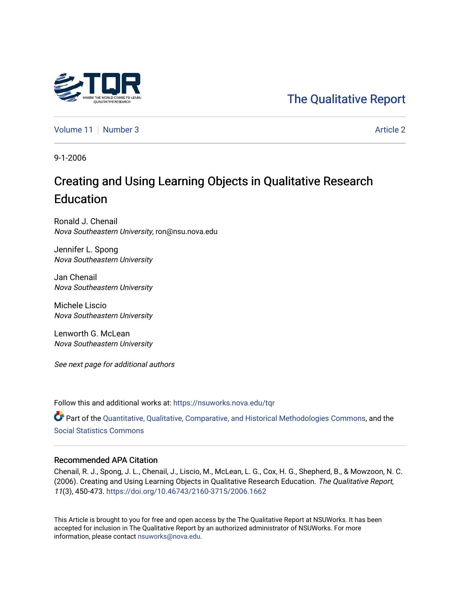## [The Qualitative Report](https://nsuworks.nova.edu/tqr)

[Volume 11](https://nsuworks.nova.edu/tqr/vol11) | [Number 3](https://nsuworks.nova.edu/tqr/vol11/iss3) [Article 2](https://nsuworks.nova.edu/tqr/vol11/iss3/2) Article 2

9-1-2006

# Creating and Using Learning Objects in Qualitative Research Education

Ronald J. Chenail Nova Southeastern University, ron@nsu.nova.edu

Jennifer L. Spong Nova Southeastern University

Jan Chenail Nova Southeastern University

Michele Liscio Nova Southeastern University

Lenworth G. McLean Nova Southeastern University

See next page for additional authors

Follow this and additional works at: [https://nsuworks.nova.edu/tqr](https://nsuworks.nova.edu/tqr?utm_source=nsuworks.nova.edu%2Ftqr%2Fvol11%2Fiss3%2F2&utm_medium=PDF&utm_campaign=PDFCoverPages) 

Part of the [Quantitative, Qualitative, Comparative, and Historical Methodologies Commons,](http://network.bepress.com/hgg/discipline/423?utm_source=nsuworks.nova.edu%2Ftqr%2Fvol11%2Fiss3%2F2&utm_medium=PDF&utm_campaign=PDFCoverPages) and the [Social Statistics Commons](http://network.bepress.com/hgg/discipline/1275?utm_source=nsuworks.nova.edu%2Ftqr%2Fvol11%2Fiss3%2F2&utm_medium=PDF&utm_campaign=PDFCoverPages) 

## Recommended APA Citation

Chenail, R. J., Spong, J. L., Chenail, J., Liscio, M., McLean, L. G., Cox, H. G., Shepherd, B., & Mowzoon, N. C. (2006). Creating and Using Learning Objects in Qualitative Research Education. The Qualitative Report, 11(3), 450-473. <https://doi.org/10.46743/2160-3715/2006.1662>

This Article is brought to you for free and open access by the The Qualitative Report at NSUWorks. It has been accepted for inclusion in The Qualitative Report by an authorized administrator of NSUWorks. For more information, please contact [nsuworks@nova.edu.](mailto:nsuworks@nova.edu)

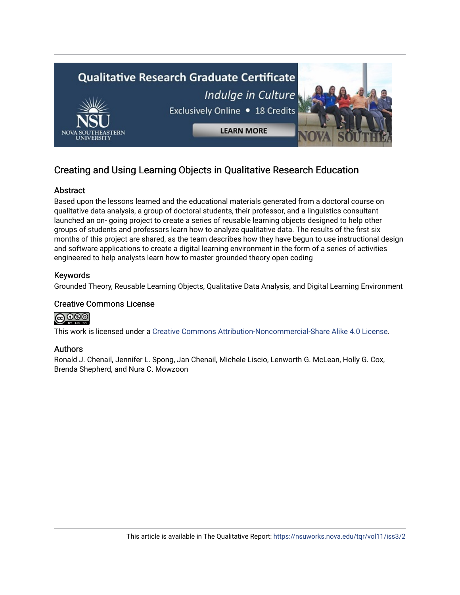

## Creating and Using Learning Objects in Qualitative Research Education

## Abstract

Based upon the lessons learned and the educational materials generated from a doctoral course on qualitative data analysis, a group of doctoral students, their professor, and a linguistics consultant launched an on- going project to create a series of reusable learning objects designed to help other groups of students and professors learn how to analyze qualitative data. The results of the first six months of this project are shared, as the team describes how they have begun to use instructional design and software applications to create a digital learning environment in the form of a series of activities engineered to help analysts learn how to master grounded theory open coding

## Keywords

Grounded Theory, Reusable Learning Objects, Qualitative Data Analysis, and Digital Learning Environment

## Creative Commons License



This work is licensed under a [Creative Commons Attribution-Noncommercial-Share Alike 4.0 License](https://creativecommons.org/licenses/by-nc-sa/4.0/).

## Authors

Ronald J. Chenail, Jennifer L. Spong, Jan Chenail, Michele Liscio, Lenworth G. McLean, Holly G. Cox, Brenda Shepherd, and Nura C. Mowzoon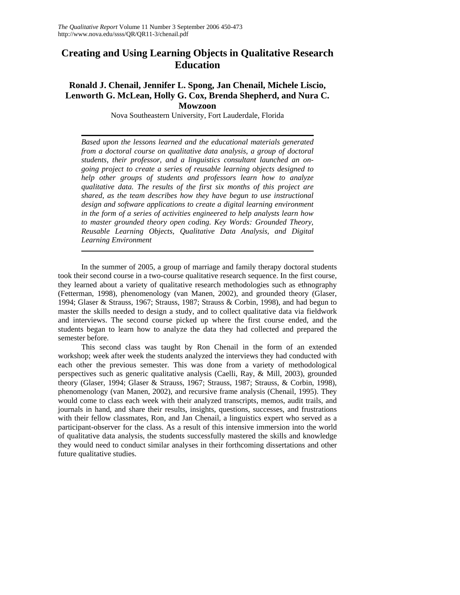## **Creating and Using Learning Objects in Qualitative Research Education**

### **Ronald J. Chenail, Jennifer L. Spong, Jan Chenail, Michele Liscio, Lenworth G. McLean, Holly G. Cox, Brenda Shepherd, and Nura C. Mowzoon**

Nova Southeastern University, Fort Lauderdale, Florida

*Based upon the lessons learned and the educational materials generated from a doctoral course on qualitative data analysis, a group of doctoral students, their professor, and a linguistics consultant launched an ongoing project to create a series of reusable learning objects designed to help other groups of students and professors learn how to analyze qualitative data. The results of the first six months of this project are shared, as the team describes how they have begun to use instructional design and software applications to create a digital learning environment in the form of a series of activities engineered to help analysts learn how to master grounded theory open coding. Key Words: Grounded Theory, Reusable Learning Objects, Qualitative Data Analysis, and Digital Learning Environment* 

In the summer of 2005, a group of marriage and family therapy doctoral students took their second course in a two-course qualitative research sequence. In the first course, they learned about a variety of qualitative research methodologies such as ethnography (Fetterman, 1998), phenomenology (van Manen, 2002), and grounded theory (Glaser, 1994; Glaser & Strauss, 1967; Strauss, 1987; Strauss & Corbin, 1998), and had begun to master the skills needed to design a study, and to collect qualitative data via fieldwork and interviews. The second course picked up where the first course ended, and the students began to learn how to analyze the data they had collected and prepared the semester before.

This second class was taught by Ron Chenail in the form of an extended workshop; week after week the students analyzed the interviews they had conducted with each other the previous semester. This was done from a variety of methodological perspectives such as generic qualitative analysis (Caelli, Ray, & Mill, 2003), grounded theory (Glaser, 1994; Glaser & Strauss, 1967; Strauss, 1987; Strauss, & Corbin, 1998), phenomenology (van Manen, 2002), and recursive frame analysis (Chenail, 1995). They would come to class each week with their analyzed transcripts, memos, audit trails, and journals in hand, and share their results, insights, questions, successes, and frustrations with their fellow classmates, Ron, and Jan Chenail, a linguistics expert who served as a participant-observer for the class. As a result of this intensive immersion into the world of qualitative data analysis, the students successfully mastered the skills and knowledge they would need to conduct similar analyses in their forthcoming dissertations and other future qualitative studies.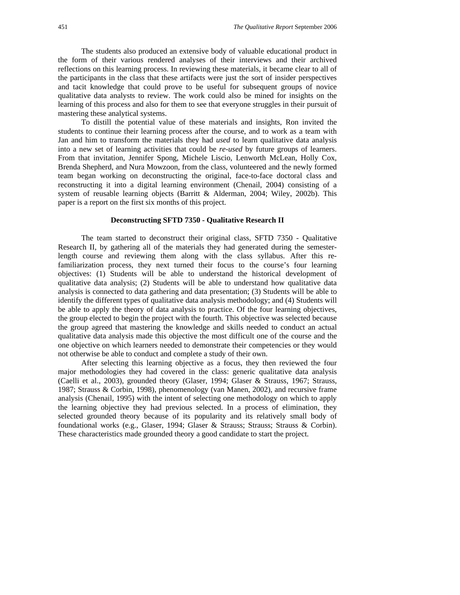The students also produced an extensive body of valuable educational product in the form of their various rendered analyses of their interviews and their archived reflections on this learning process. In reviewing these materials, it became clear to all of the participants in the class that these artifacts were just the sort of insider perspectives and tacit knowledge that could prove to be useful for subsequent groups of novice qualitative data analysts to review. The work could also be mined for insights on the learning of this process and also for them to see that everyone struggles in their pursuit of mastering these analytical systems.

To distill the potential value of these materials and insights, Ron invited the students to continue their learning process after the course, and to work as a team with Jan and him to transform the materials they had *used* to learn qualitative data analysis into a new set of learning activities that could be *re-used* by future groups of learners. From that invitation, Jennifer Spong, Michele Liscio, Lenworth McLean, Holly Cox, Brenda Shepherd, and Nura Mowzoon, from the class, volunteered and the newly formed team began working on deconstructing the original, face-to-face doctoral class and reconstructing it into a digital learning environment (Chenail, 2004) consisting of a system of reusable learning objects (Barritt & Alderman, 2004; Wiley, 2002b). This paper is a report on the first six months of this project.

#### **Deconstructing SFTD 7350 - Qualitative Research II**

The team started to deconstruct their original class, SFTD 7350 - Qualitative Research II, by gathering all of the materials they had generated during the semesterlength course and reviewing them along with the class syllabus. After this refamiliarization process, they next turned their focus to the course's four learning objectives: (1) Students will be able to understand the historical development of qualitative data analysis; (2) Students will be able to understand how qualitative data analysis is connected to data gathering and data presentation; (3) Students will be able to identify the different types of qualitative data analysis methodology; and (4) Students will be able to apply the theory of data analysis to practice. Of the four learning objectives, the group elected to begin the project with the fourth. This objective was selected because the group agreed that mastering the knowledge and skills needed to conduct an actual qualitative data analysis made this objective the most difficult one of the course and the one objective on which learners needed to demonstrate their competencies or they would not otherwise be able to conduct and complete a study of their own.

After selecting this learning objective as a focus, they then reviewed the four major methodologies they had covered in the class: generic qualitative data analysis (Caelli et al., 2003), grounded theory (Glaser, 1994; Glaser & Strauss, 1967; Strauss, 1987; Strauss & Corbin, 1998), phenomenology (van Manen, 2002), and recursive frame analysis (Chenail, 1995) with the intent of selecting one methodology on which to apply the learning objective they had previous selected. In a process of elimination, they selected grounded theory because of its popularity and its relatively small body of foundational works (e.g., Glaser, 1994; Glaser & Strauss; Strauss; Strauss & Corbin). These characteristics made grounded theory a good candidate to start the project.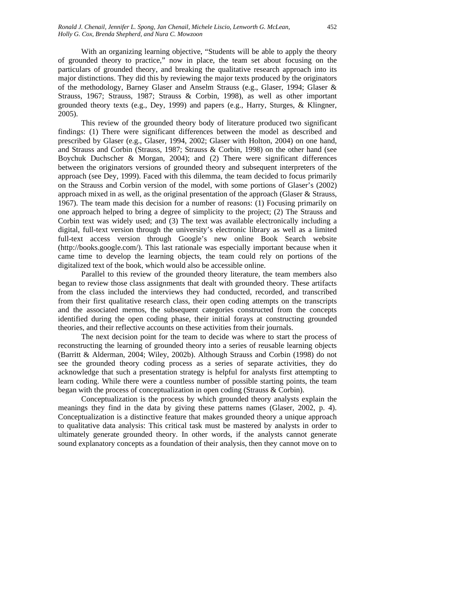With an organizing learning objective, "Students will be able to apply the theory of grounded theory to practice," now in place, the team set about focusing on the particulars of grounded theory, and breaking the qualitative research approach into its major distinctions. They did this by reviewing the major texts produced by the originators of the methodology, Barney Glaser and Anselm Strauss (e.g., Glaser, 1994; Glaser & Strauss, 1967; Strauss, 1987; Strauss & Corbin, 1998), as well as other important grounded theory texts (e.g., Dey, 1999) and papers (e.g., Harry, Sturges, & Klingner, 2005).

This review of the grounded theory body of literature produced two significant findings: (1) There were significant differences between the model as described and prescribed by Glaser (e.g., Glaser, 1994, 2002; Glaser with Holton, 2004) on one hand, and Strauss and Corbin (Strauss, 1987; Strauss & Corbin, 1998) on the other hand (see Boychuk Duchscher & Morgan, 2004); and (2) There were significant differences between the originators versions of grounded theory and subsequent interpreters of the approach (see Dey, 1999). Faced with this dilemma, the team decided to focus primarily on the Strauss and Corbin version of the model, with some portions of Glaser's (2002) approach mixed in as well, as the original presentation of the approach (Glaser & Strauss, 1967). The team made this decision for a number of reasons: (1) Focusing primarily on one approach helped to bring a degree of simplicity to the project; (2) The Strauss and Corbin text was widely used; and (3) The text was available electronically including a digital, full-text version through the university's electronic library as well as a limited full-text access version through Google's new online Book Search website (http://books.google.com/). This last rationale was especially important because when it came time to develop the learning objects, the team could rely on portions of the digitalized text of the book, which would also be accessible online.

Parallel to this review of the grounded theory literature, the team members also began to review those class assignments that dealt with grounded theory. These artifacts from the class included the interviews they had conducted, recorded, and transcribed from their first qualitative research class, their open coding attempts on the transcripts and the associated memos, the subsequent categories constructed from the concepts identified during the open coding phase, their initial forays at constructing grounded theories, and their reflective accounts on these activities from their journals.

The next decision point for the team to decide was where to start the process of reconstructing the learning of grounded theory into a series of reusable learning objects (Barritt & Alderman, 2004; Wiley, 2002b). Although Strauss and Corbin (1998) do not see the grounded theory coding process as a series of separate activities, they do acknowledge that such a presentation strategy is helpful for analysts first attempting to learn coding. While there were a countless number of possible starting points, the team began with the process of conceptualization in open coding (Strauss & Corbin).

Conceptualization is the process by which grounded theory analysts explain the meanings they find in the data by giving these patterns names (Glaser, 2002, p. 4). Conceptualization is a distinctive feature that makes grounded theory a unique approach to qualitative data analysis: This critical task must be mastered by analysts in order to ultimately generate grounded theory. In other words, if the analysts cannot generate sound explanatory concepts as a foundation of their analysis, then they cannot move on to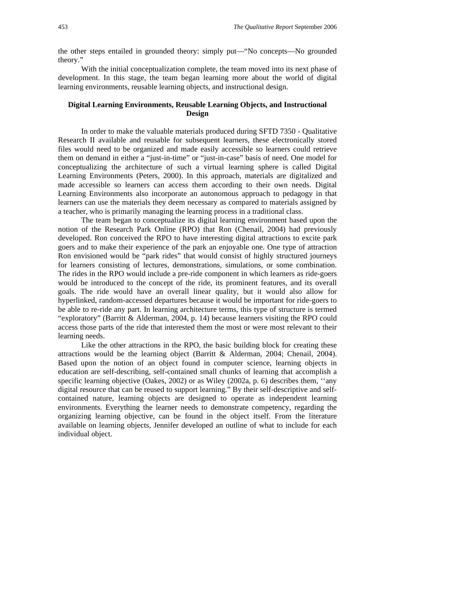the other steps entailed in grounded theory: simply put—"No concepts—No grounded theory."

With the initial conceptualization complete, the team moved into its next phase of development. In this stage, the team began learning more about the world of digital learning environments, reusable learning objects, and instructional design.

#### **Digital Learning Environments, Reusable Learning Objects, and Instructional Design**

In order to make the valuable materials produced during SFTD 7350 - Qualitative Research II available and reusable for subsequent learners, these electronically stored files would need to be organized and made easily accessible so learners could retrieve them on demand in either a "just-in-time" or "just-in-case" basis of need. One model for conceptualizing the architecture of such a virtual learning sphere is called Digital Learning Environments (Peters, 2000). In this approach, materials are digitalized and made accessible so learners can access them according to their own needs. Digital Learning Environments also incorporate an autonomous approach to pedagogy in that learners can use the materials they deem necessary as compared to materials assigned by a teacher, who is primarily managing the learning process in a traditional class.

The team began to conceptualize its digital learning environment based upon the notion of the Research Park Online (RPO) that Ron (Chenail, 2004) had previously developed. Ron conceived the RPO to have interesting digital attractions to excite park goers and to make their experience of the park an enjoyable one. One type of attraction Ron envisioned would be "park rides" that would consist of highly structured journeys for learners consisting of lectures, demonstrations, simulations, or some combination. The rides in the RPO would include a pre-ride component in which learners as ride-goers would be introduced to the concept of the ride, its prominent features, and its overall goals. The ride would have an overall linear quality, but it would also allow for hyperlinked, random-accessed departures because it would be important for ride-goers to be able to re-ride any part. In learning architecture terms, this type of structure is termed "exploratory" (Barritt & Alderman, 2004, p. 14) because learners visiting the RPO could access those parts of the ride that interested them the most or were most relevant to their learning needs.

Like the other attractions in the RPO, the basic building block for creating these attractions would be the learning object (Barritt & Alderman, 2004; Chenail, 2004). Based upon the notion of an object found in computer science, learning objects in education are self-describing, self-contained small chunks of learning that accomplish a specific learning objective (Oakes, 2002) or as Wiley (2002a, p. 6) describes them, ''any digital resource that can be reused to support learning." By their self-descriptive and selfcontained nature, learning objects are designed to operate as independent learning environments. Everything the learner needs to demonstrate competency, regarding the organizing learning objective, can be found in the object itself. From the literature available on learning objects, Jennifer developed an outline of what to include for each individual object.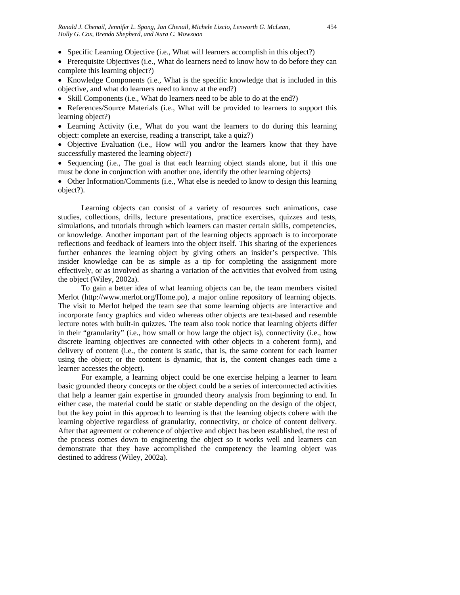- Specific Learning Objective (i.e., What will learners accomplish in this object?)
- Prerequisite Objectives (i.e., What do learners need to know how to do before they can complete this learning object?)
- Knowledge Components (i.e., What is the specific knowledge that is included in this objective, and what do learners need to know at the end?)
- Skill Components (i.e., What do learners need to be able to do at the end?)
- References/Source Materials (i.e., What will be provided to learners to support this learning object?)
- Learning Activity (i.e., What do you want the learners to do during this learning object: complete an exercise, reading a transcript, take a quiz?)
- Objective Evaluation (i.e., How will you and/or the learners know that they have successfully mastered the learning object?)
- Sequencing (i.e., The goal is that each learning object stands alone, but if this one must be done in conjunction with another one, identify the other learning objects)
- Other Information/Comments (i.e., What else is needed to know to design this learning object?).

Learning objects can consist of a variety of resources such animations, case studies, collections, drills, lecture presentations, practice exercises, quizzes and tests, simulations, and tutorials through which learners can master certain skills, competencies, or knowledge. Another important part of the learning objects approach is to incorporate reflections and feedback of learners into the object itself. This sharing of the experiences further enhances the learning object by giving others an insider's perspective. This insider knowledge can be as simple as a tip for completing the assignment more effectively, or as involved as sharing a variation of the activities that evolved from using the object (Wiley, 2002a).

To gain a better idea of what learning objects can be, the team members visited Merlot (http://www.merlot.org/Home.po), a major online repository of learning objects. The visit to Merlot helped the team see that some learning objects are interactive and incorporate fancy graphics and video whereas other objects are text-based and resemble lecture notes with built-in quizzes. The team also took notice that learning objects differ in their "granularity" (i.e., how small or how large the object is), connectivity (i.e., how discrete learning objectives are connected with other objects in a coherent form), and delivery of content (i.e., the content is static, that is, the same content for each learner using the object; or the content is dynamic, that is, the content changes each time a learner accesses the object).

For example, a learning object could be one exercise helping a learner to learn basic grounded theory concepts or the object could be a series of interconnected activities that help a learner gain expertise in grounded theory analysis from beginning to end. In either case, the material could be static or stable depending on the design of the object, but the key point in this approach to learning is that the learning objects cohere with the learning objective regardless of granularity, connectivity, or choice of content delivery. After that agreement or coherence of objective and object has been established, the rest of the process comes down to engineering the object so it works well and learners can demonstrate that they have accomplished the competency the learning object was destined to address (Wiley, 2002a).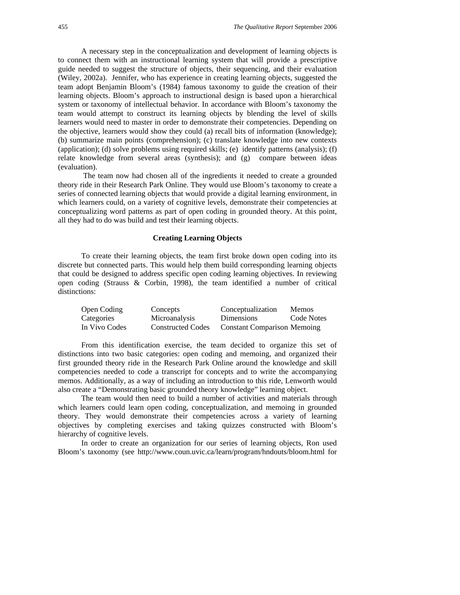A necessary step in the conceptualization and development of learning objects is to connect them with an instructional learning system that will provide a prescriptive guide needed to suggest the structure of objects, their sequencing, and their evaluation (Wiley, 2002a). Jennifer, who has experience in creating learning objects, suggested the team adopt Benjamin Bloom's (1984) famous taxonomy to guide the creation of their learning objects. Bloom's approach to instructional design is based upon a hierarchical system or taxonomy of intellectual behavior. In accordance with Bloom's taxonomy the team would attempt to construct its learning objects by blending the level of skills learners would need to master in order to demonstrate their competencies. Depending on the objective, learners would show they could (a) recall bits of information (knowledge); (b) summarize main points (comprehension); (c) translate knowledge into new contexts (application); (d) solve problems using required skills; (e) identify patterns (analysis); (f) relate knowledge from several areas (synthesis); and (g) compare between ideas (evaluation).

 The team now had chosen all of the ingredients it needed to create a grounded theory ride in their Research Park Online. They would use Bloom's taxonomy to create a series of connected learning objects that would provide a digital learning environment, in which learners could, on a variety of cognitive levels, demonstrate their competencies at conceptualizing word patterns as part of open coding in grounded theory. At this point, all they had to do was build and test their learning objects.

#### **Creating Learning Objects**

To create their learning objects, the team first broke down open coding into its discrete but connected parts. This would help them build corresponding learning objects that could be designed to address specific open coding learning objectives. In reviewing open coding (Strauss & Corbin, 1998), the team identified a number of critical distinctions:

| Open Coding       | Concepts                 | Conceptualization                  | <b>Memos</b> |
|-------------------|--------------------------|------------------------------------|--------------|
| <b>Categories</b> | <b>Microanalysis</b>     | Dimensions                         | Code Notes   |
| In Vivo Codes     | <b>Constructed Codes</b> | <b>Constant Comparison Memoing</b> |              |

From this identification exercise, the team decided to organize this set of distinctions into two basic categories: open coding and memoing, and organized their first grounded theory ride in the Research Park Online around the knowledge and skill competencies needed to code a transcript for concepts and to write the accompanying memos. Additionally, as a way of including an introduction to this ride, Lenworth would also create a "Demonstrating basic grounded theory knowledge" learning object.

The team would then need to build a number of activities and materials through which learners could learn open coding, conceptualization, and memoing in grounded theory. They would demonstrate their competencies across a variety of learning objectives by completing exercises and taking quizzes constructed with Bloom's hierarchy of cognitive levels.

In order to create an organization for our series of learning objects, Ron used Bloom's taxonomy (see http://www.coun.uvic.ca/learn/program/hndouts/bloom.html for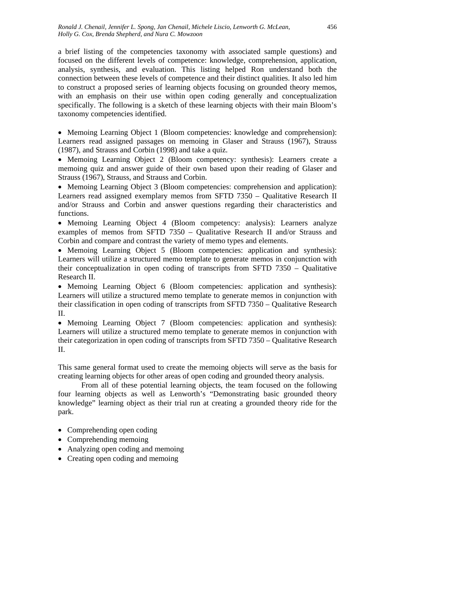a brief listing of the competencies taxonomy with associated sample questions) and focused on the different levels of competence: knowledge, comprehension, application, analysis, synthesis, and evaluation. This listing helped Ron understand both the connection between these levels of competence and their distinct qualities. It also led him to construct a proposed series of learning objects focusing on grounded theory memos, with an emphasis on their use within open coding generally and conceptualization specifically. The following is a sketch of these learning objects with their main Bloom's taxonomy competencies identified.

• Memoing Learning Object 1 (Bloom competencies: knowledge and comprehension): Learners read assigned passages on memoing in Glaser and Strauss (1967), Strauss (1987), and Strauss and Corbin (1998) and take a quiz.

• Memoing Learning Object 2 (Bloom competency: synthesis): Learners create a memoing quiz and answer guide of their own based upon their reading of Glaser and Strauss (1967), Strauss, and Strauss and Corbin.

• Memoing Learning Object 3 (Bloom competencies: comprehension and application): Learners read assigned exemplary memos from SFTD 7350 – Qualitative Research II and/or Strauss and Corbin and answer questions regarding their characteristics and functions.

• Memoing Learning Object 4 (Bloom competency: analysis): Learners analyze examples of memos from SFTD 7350 – Qualitative Research II and/or Strauss and Corbin and compare and contrast the variety of memo types and elements.

• Memoing Learning Object 5 (Bloom competencies: application and synthesis): Learners will utilize a structured memo template to generate memos in conjunction with their conceptualization in open coding of transcripts from SFTD 7350 – Qualitative Research II.

• Memoing Learning Object 6 (Bloom competencies: application and synthesis): Learners will utilize a structured memo template to generate memos in conjunction with their classification in open coding of transcripts from SFTD 7350 – Qualitative Research II.

• Memoing Learning Object 7 (Bloom competencies: application and synthesis): Learners will utilize a structured memo template to generate memos in conjunction with their categorization in open coding of transcripts from SFTD 7350 – Qualitative Research II.

This same general format used to create the memoing objects will serve as the basis for creating learning objects for other areas of open coding and grounded theory analysis.

From all of these potential learning objects, the team focused on the following four learning objects as well as Lenworth's "Demonstrating basic grounded theory knowledge" learning object as their trial run at creating a grounded theory ride for the park.

- Comprehending open coding
- Comprehending memoing
- Analyzing open coding and memoing
- Creating open coding and memoing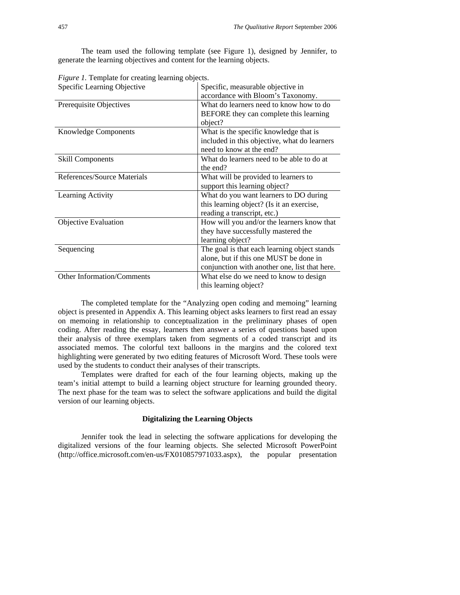The team used the following template (see Figure 1), designed by Jennifer, to generate the learning objectives and content for the learning objects.

| Specific Learning Objective | Specific, measurable objective in             |
|-----------------------------|-----------------------------------------------|
|                             | accordance with Bloom's Taxonomy.             |
| Prerequisite Objectives     | What do learners need to know how to do       |
|                             | BEFORE they can complete this learning        |
|                             | object?                                       |
| <b>Knowledge Components</b> | What is the specific knowledge that is        |
|                             | included in this objective, what do learners  |
|                             | need to know at the end?                      |
| <b>Skill Components</b>     | What do learners need to be able to do at     |
|                             | the end?                                      |
| References/Source Materials | What will be provided to learners to          |
|                             | support this learning object?                 |
| Learning Activity           | What do you want learners to DO during        |
|                             | this learning object? (Is it an exercise,     |
|                             | reading a transcript, etc.)                   |
| <b>Objective Evaluation</b> | How will you and/or the learners know that    |
|                             | they have successfully mastered the           |
|                             | learning object?                              |
| Sequencing                  | The goal is that each learning object stands  |
|                             | alone, but if this one MUST be done in        |
|                             | conjunction with another one, list that here. |
| Other Information/Comments  | What else do we need to know to design        |
|                             | this learning object?                         |

*Figure 1.* Template for creating learning objects.

The completed template for the "Analyzing open coding and memoing" learning object is presented in Appendix A. This learning object asks learners to first read an essay on memoing in relationship to conceptualization in the preliminary phases of open coding. After reading the essay, learners then answer a series of questions based upon their analysis of three exemplars taken from segments of a coded transcript and its associated memos. The colorful text balloons in the margins and the colored text highlighting were generated by two editing features of Microsoft Word. These tools were used by the students to conduct their analyses of their transcripts.

Templates were drafted for each of the four learning objects, making up the team's initial attempt to build a learning object structure for learning grounded theory. The next phase for the team was to select the software applications and build the digital version of our learning objects.

#### **Digitalizing the Learning Objects**

Jennifer took the lead in selecting the software applications for developing the digitalized versions of the four learning objects. She selected Microsoft PowerPoint (http://office.microsoft.com/en-us/FX010857971033.aspx), the popular presentation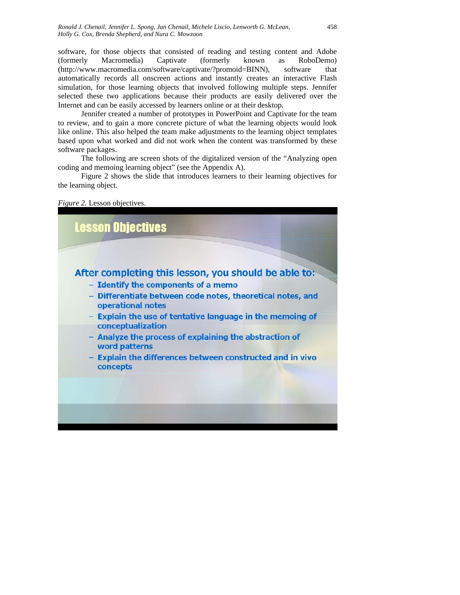software, for those objects that consisted of reading and testing content and Adobe (formerly Macromedia) Captivate (formerly known as RoboDemo) (http://www.macromedia.com/software/captivate/?promoid=BINN), software that automatically records all onscreen actions and instantly creates an interactive Flash simulation, for those learning objects that involved following multiple steps. Jennifer selected these two applications because their products are easily delivered over the Internet and can be easily accessed by learners online or at their desktop.

Jennifer created a number of prototypes in PowerPoint and Captivate for the team to review, and to gain a more concrete picture of what the learning objects would look like online. This also helped the team make adjustments to the learning object templates based upon what worked and did not work when the content was transformed by these software packages.

The following are screen shots of the digitalized version of the "Analyzing open coding and memoing learning object" (see the Appendix A).

Figure 2 shows the slide that introduces learners to their learning objectives for the learning object.



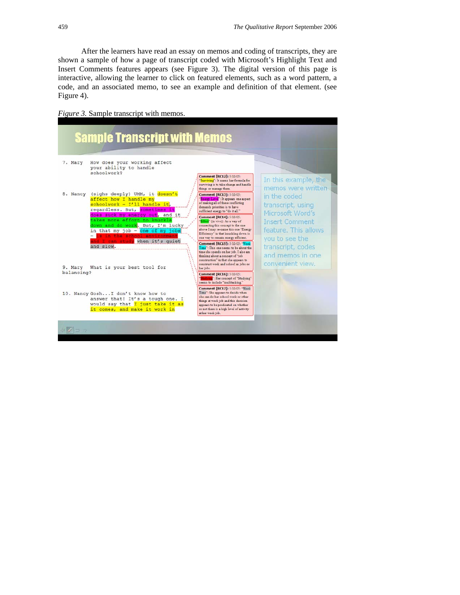After the learners have read an essay on memos and coding of transcripts, they are shown a sample of how a page of transcript coded with Microsoft's Highlight Text and Insert Comments features appears (see Figure 3). The digital version of this page is interactive, allowing the learner to click on featured elements, such as a word pattern, a code, and an associated memo, to see an example and definition of that element. (see Figure 4).

*Figure 3.* Sample transcript with memos.

| <b>Sample Transcript with Memos</b>                                                                                                                                                                                                                                                                                                                                 |                                                                                                                                                                                                                                                                                                                                                                                                                                                                                                                                                                                                                                                   |                                                                                                                                                                                       |
|---------------------------------------------------------------------------------------------------------------------------------------------------------------------------------------------------------------------------------------------------------------------------------------------------------------------------------------------------------------------|---------------------------------------------------------------------------------------------------------------------------------------------------------------------------------------------------------------------------------------------------------------------------------------------------------------------------------------------------------------------------------------------------------------------------------------------------------------------------------------------------------------------------------------------------------------------------------------------------------------------------------------------------|---------------------------------------------------------------------------------------------------------------------------------------------------------------------------------------|
| How does your working affect<br>7. Mary<br>your ability to handle<br>schoolwork?                                                                                                                                                                                                                                                                                    | Comment [RC12]: 5/10/05:<br>"Surviving": It seems her formula for<br>surviving is to take change and handle<br>things or manage them.                                                                                                                                                                                                                                                                                                                                                                                                                                                                                                             | In this example, the<br>memos were written                                                                                                                                            |
| (sighs deeply) UMM, it doesn't<br>8. Nancy<br>affect how I handle my<br>schoolwork - $I'11$ handle it,<br>regardless. But, sometimes it<br>does suck my energy out, and it<br>takes more effort to knuckle<br>down and do work. But, I'm lucky<br>in that my job - one of my jobs<br>- is in the school environment<br>and I can study when it's quiet<br>and slow. | Comment [RC13]: 5/10/05:<br>"Energy Leve": It appears one aspect<br>of making all of these conflicting<br>demands priorities is to have<br>sufficient energy to "do it all."<br>Comment [RC14]: 5/10/05:<br>"Effort" (in vivo): As a way of<br>connecting this concept to the one<br>above I may re-name this one "Energy<br>Efficiency" in that knuckling down is<br>one way to remain energy efficient.<br>Comment [RC15]: 5/10/05: "Work<br>Time": This one seems to be about the<br>time she spends on her job. I also am<br>thinking about a concept of "job<br>construction" in that she appears to<br>construct work and school as jobs or | in the coded<br>transcript, using<br>Microsoft Word's<br><b>Insert Comment</b><br>feature. This allows<br>you to see the<br>transcript, codes<br>and memos in one<br>convenient view. |
| 9. Mary What is your best tool for<br>balancing?                                                                                                                                                                                                                                                                                                                    | her jobs.<br>Comment [RC16]: 5/10/05:<br>tudying": Her concept of "Studying"<br>seems to include "multitasking."                                                                                                                                                                                                                                                                                                                                                                                                                                                                                                                                  |                                                                                                                                                                                       |
| 10. Nancy Gosh I don't know how to<br>answer that! It's a tough one. I<br>would say that I just take it as<br>it comes, and make it work in                                                                                                                                                                                                                         | Comment [RC17]: 5/10/05: "Work<br>Time": She appears to decide when<br>she can do her school work or other<br>things at work job and this decision<br>appears to be predicated on whether<br>or not there is a high level of activity<br>at her work job.                                                                                                                                                                                                                                                                                                                                                                                         |                                                                                                                                                                                       |
|                                                                                                                                                                                                                                                                                                                                                                     |                                                                                                                                                                                                                                                                                                                                                                                                                                                                                                                                                                                                                                                   |                                                                                                                                                                                       |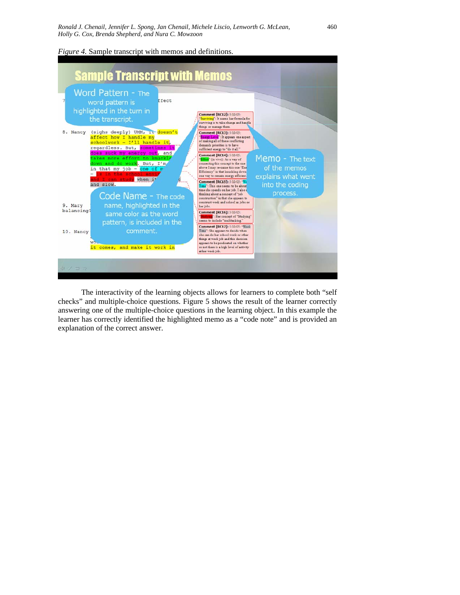*Figure 4.* Sample transcript with memos and definitions.



The interactivity of the learning objects allows for learners to complete both "self checks" and multiple-choice questions. Figure 5 shows the result of the learner correctly answering one of the multiple-choice questions in the learning object. In this example the learner has correctly identified the highlighted memo as a "code note" and is provided an explanation of the correct answer.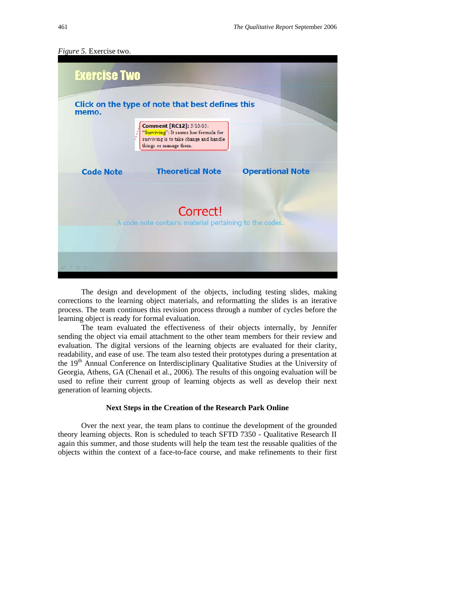

*Figure 5.* Exercise two.

The design and development of the objects, including testing slides, making corrections to the learning object materials, and reformatting the slides is an iterative process. The team continues this revision process through a number of cycles before the learning object is ready for formal evaluation.

The team evaluated the effectiveness of their objects internally, by Jennifer sending the object via email attachment to the other team members for their review and evaluation. The digital versions of the learning objects are evaluated for their clarity, readability, and ease of use. The team also tested their prototypes during a presentation at the 19<sup>th</sup> Annual Conference on Interdisciplinary Qualitative Studies at the University of Georgia, Athens, GA (Chenail et al., 2006). The results of this ongoing evaluation will be used to refine their current group of learning objects as well as develop their next generation of learning objects.

#### **Next Steps in the Creation of the Research Park Online**

Over the next year, the team plans to continue the development of the grounded theory learning objects. Ron is scheduled to teach SFTD 7350 - Qualitative Research II again this summer, and those students will help the team test the reusable qualities of the objects within the context of a face-to-face course, and make refinements to their first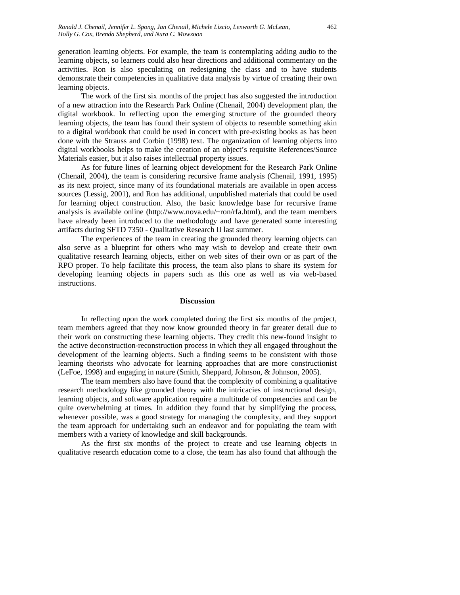generation learning objects. For example, the team is contemplating adding audio to the learning objects, so learners could also hear directions and additional commentary on the activities. Ron is also speculating on redesigning the class and to have students demonstrate their competencies in qualitative data analysis by virtue of creating their own learning objects.

The work of the first six months of the project has also suggested the introduction of a new attraction into the Research Park Online (Chenail, 2004) development plan, the digital workbook. In reflecting upon the emerging structure of the grounded theory learning objects, the team has found their system of objects to resemble something akin to a digital workbook that could be used in concert with pre-existing books as has been done with the Strauss and Corbin (1998) text. The organization of learning objects into digital workbooks helps to make the creation of an object's requisite References/Source Materials easier, but it also raises intellectual property issues.

As for future lines of learning object development for the Research Park Online (Chenail, 2004), the team is considering recursive frame analysis (Chenail, 1991, 1995) as its next project, since many of its foundational materials are available in open access sources (Lessig, 2001), and Ron has additional, unpublished materials that could be used for learning object construction. Also, the basic knowledge base for recursive frame analysis is available online (http://www.nova.edu/~ron/rfa.html), and the team members have already been introduced to the methodology and have generated some interesting artifacts during SFTD 7350 - Qualitative Research II last summer.

The experiences of the team in creating the grounded theory learning objects can also serve as a blueprint for others who may wish to develop and create their own qualitative research learning objects, either on web sites of their own or as part of the RPO proper. To help facilitate this process, the team also plans to share its system for developing learning objects in papers such as this one as well as via web-based instructions.

#### **Discussion**

In reflecting upon the work completed during the first six months of the project, team members agreed that they now know grounded theory in far greater detail due to their work on constructing these learning objects. They credit this new-found insight to the active deconstruction-reconstruction process in which they all engaged throughout the development of the learning objects. Such a finding seems to be consistent with those learning theorists who advocate for learning approaches that are more constructionist (LeFoe, 1998) and engaging in nature (Smith, Sheppard, Johnson, & Johnson, 2005).

The team members also have found that the complexity of combining a qualitative research methodology like grounded theory with the intricacies of instructional design, learning objects, and software application require a multitude of competencies and can be quite overwhelming at times. In addition they found that by simplifying the process, whenever possible, was a good strategy for managing the complexity, and they support the team approach for undertaking such an endeavor and for populating the team with members with a variety of knowledge and skill backgrounds.

As the first six months of the project to create and use learning objects in qualitative research education come to a close, the team has also found that although the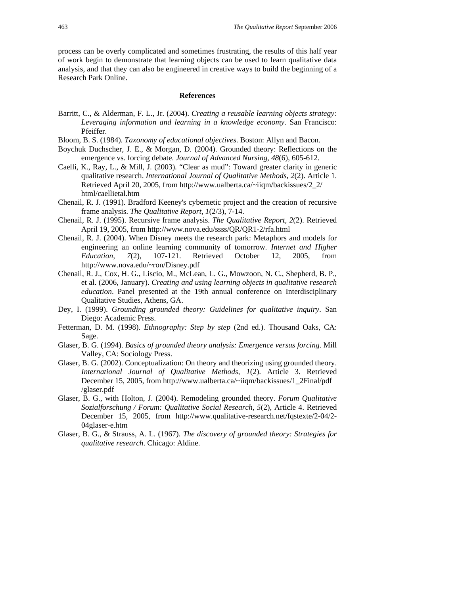process can be overly complicated and sometimes frustrating, the results of this half year of work begin to demonstrate that learning objects can be used to learn qualitative data analysis, and that they can also be engineered in creative ways to build the beginning of a Research Park Online.

#### **References**

- Barritt, C., & Alderman, F. L., Jr. (2004). *Creating a reusable learning objects strategy: Leveraging information and learning in a knowledge economy*. San Francisco: Pfeiffer.
- Bloom, B. S. (1984). *Taxonomy of educational objectives*. Boston: Allyn and Bacon.
- Boychuk Duchscher, J. E., & Morgan, D. (2004). Grounded theory: Reflections on the emergence vs. forcing debate. *Journal of Advanced Nursing, 48*(6), 605-612.
- Caelli, K., Ray, L., & Mill, J. (2003). "Clear as mud": Toward greater clarity in generic qualitative research. *International Journal of Qualitative Methods, 2*(2). Article 1. Retrieved April 20, 2005, from http://www.ualberta.ca/~iiqm/backissues/2\_2/ html/caellietal.htm
- Chenail, R. J. (1991). Bradford Keeney's cybernetic project and the creation of recursive frame analysis. *The Qualitative Report*, *1*(2/3), 7-14.
- Chenail, R. J. (1995). Recursive frame analysis. *The Qualitative Report*, *2*(2). Retrieved April 19, 2005, from http://www.nova.edu/ssss/QR/QR1-2/rfa.html
- Chenail, R. J. (2004). When Disney meets the research park: Metaphors and models for engineering an online learning community of tomorrow. *Internet and Higher Education, 7*(2), 107-121. Retrieved October 12, 2005, from http://www.nova.edu/~ron/Disney.pdf
- Chenail, R. J., Cox, H. G., Liscio, M., McLean, L. G., Mowzoon, N. C., Shepherd, B. P., et al. (2006, January). *Creating and using learning objects in qualitative research education*. Panel presented at the 19th annual conference on Interdisciplinary Qualitative Studies, Athens, GA.
- Dey, I. (1999). *Grounding grounded theory: Guidelines for qualitative inquiry*. San Diego: Academic Press.
- Fetterman, D. M. (1998). *Ethnography: Step by step* (2nd ed.). Thousand Oaks, CA: Sage.
- Glaser, B. G. (1994). *Basics of grounded theory analysis: Emergence versus forcing*. Mill Valley, CA: Sociology Press.
- Glaser, B. G. (2002). Conceptualization: On theory and theorizing using grounded theory. *International Journal of Qualitative Methods, 1*(2). Article 3. Retrieved December 15, 2005, from http://www.ualberta.ca/~iiqm/backissues/1\_2Final/pdf /glaser.pdf
- Glaser, B. G., with Holton, J. (2004). Remodeling grounded theory. *Forum Qualitative Sozialforschung / Forum: Qualitative Social Research*, *5*(2), Article 4. Retrieved December 15, 2005, from http://www.qualitative-research.net/fqstexte/2-04/2- 04glaser-e.htm
- Glaser, B. G., & Strauss, A. L. (1967). *The discovery of grounded theory: Strategies for qualitative research*. Chicago: Aldine.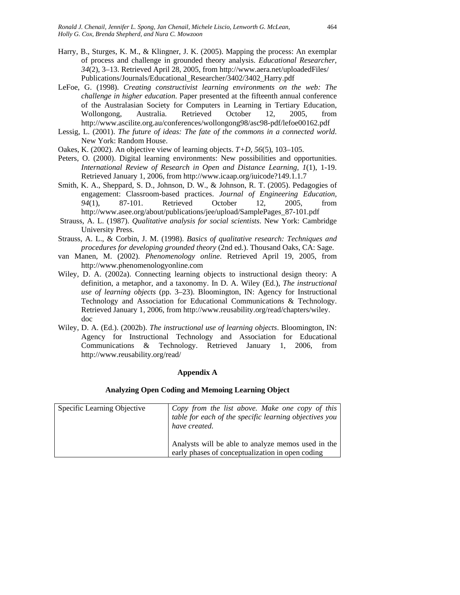- Harry, B., Sturges, K. M., & Klingner, J. K. (2005). Mapping the process: An exemplar of process and challenge in grounded theory analysis. *Educational Researcher, 34*(2), 3–13. Retrieved April 28, 2005, from http://www.aera.net/uploadedFiles/ Publications/Journals/Educational\_Researcher/3402/3402\_Harry.pdf
- LeFoe, G. (1998). *Creating constructivist learning environments on the web: The challenge in higher education*. Paper presented at the fifteenth annual conference of the Australasian Society for Computers in Learning in Tertiary Education, Wollongong, Australia. Retrieved October 12, 2005, from http://www.ascilite.org.au/conferences/wollongong98/asc98-pdf/lefoe00162.pdf
- Lessig, L. (2001). *The future of ideas: The fate of the commons in a connected world*. New York: Random House.
- Oakes, K. (2002). An objective view of learning objects. *T+D, 56*(5), 103–105.
- Peters, O. (2000). Digital learning environments: New possibilities and opportunities. *International Review of Research in Open and Distance Learning, 1*(1), 1-19. Retrieved January 1, 2006, from http://www.icaap.org/iuicode?149.1.1.7
- Smith, K. A., Sheppard, S. D., Johnson, D. W., & Johnson, R. T. (2005). Pedagogies of engagement: Classroom-based practices. *Journal of Engineering Education, 94*(1), 87-101. Retrieved October 12, 2005, from http://www.asee.org/about/publications/jee/upload/SamplePages\_87-101.pdf
- Strauss, A. L. (1987). *Qualitative analysis for social scientists*. New York: Cambridge University Press.
- Strauss, A. L., & Corbin, J. M. (1998). *Basics of qualitative research: Techniques and procedures for developing grounded theory* (2nd ed.). Thousand Oaks, CA: Sage.
- van Manen, M. (2002). *Phenomenology online*. Retrieved April 19, 2005, from http://www.phenomenologyonline.com
- Wiley, D. A. (2002a). Connecting learning objects to instructional design theory: A definition, a metaphor, and a taxonomy. In D. A. Wiley (Ed.), *The instructional use of learning objects* (pp. 3–23). Bloomington, IN: Agency for Instructional Technology and Association for Educational Communications & Technology. Retrieved January 1, 2006, from http://www.reusability.org/read/chapters/wiley. doc
- Wiley, D. A. (Ed.). (2002b). *The instructional use of learning objects*. Bloomington, IN: Agency for Instructional Technology and Association for Educational Communications & Technology. Retrieved January 1, 2006, from http://www.reusability.org/read/

#### **Appendix A**

#### **Analyzing Open Coding and Memoing Learning Object**

| Specific Learning Objective | Copy from the list above. Make one copy of this<br>table for each of the specific learning objectives you<br>have created. |
|-----------------------------|----------------------------------------------------------------------------------------------------------------------------|
|                             | Analysts will be able to analyze memos used in the<br>early phases of conceptualization in open coding                     |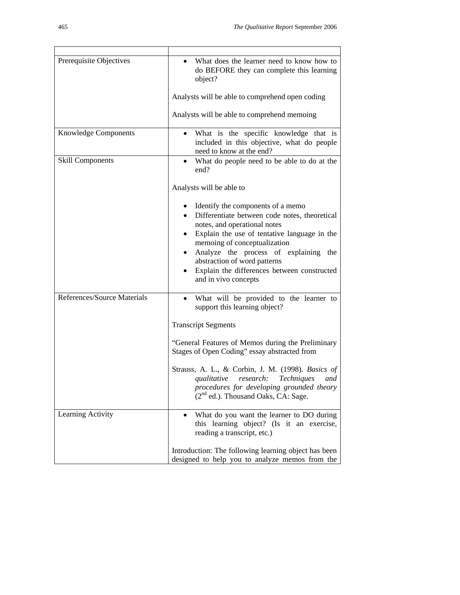| Prerequisite Objectives     | What does the learner need to know how to<br>do BEFORE they can complete this learning<br>object?                                                                                                                                                                                                                                                                       |
|-----------------------------|-------------------------------------------------------------------------------------------------------------------------------------------------------------------------------------------------------------------------------------------------------------------------------------------------------------------------------------------------------------------------|
|                             | Analysts will be able to comprehend open coding                                                                                                                                                                                                                                                                                                                         |
|                             | Analysts will be able to comprehend memoing                                                                                                                                                                                                                                                                                                                             |
| <b>Knowledge Components</b> | What is the specific knowledge that is<br>included in this objective, what do people<br>need to know at the end?                                                                                                                                                                                                                                                        |
| <b>Skill Components</b>     | What do people need to be able to do at the<br>end?                                                                                                                                                                                                                                                                                                                     |
|                             | Analysts will be able to                                                                                                                                                                                                                                                                                                                                                |
|                             | Identify the components of a memo<br>Differentiate between code notes, theoretical<br>notes, and operational notes<br>Explain the use of tentative language in the<br>٠<br>memoing of conceptualization<br>Analyze the process of explaining<br>the<br>$\bullet$<br>abstraction of word patterns<br>Explain the differences between constructed<br>and in vivo concepts |
| References/Source Materials | What will be provided to the learner to<br>$\bullet$<br>support this learning object?                                                                                                                                                                                                                                                                                   |
|                             | <b>Transcript Segments</b>                                                                                                                                                                                                                                                                                                                                              |
|                             | "General Features of Memos during the Preliminary<br>Stages of Open Coding" essay abstracted from                                                                                                                                                                                                                                                                       |
|                             | Strauss, A. L., & Corbin, J. M. (1998). Basics of<br>qualitative<br>research:<br>Techniques<br>and<br>procedures for developing grounded theory<br>$(2nd$ ed.). Thousand Oaks, CA: Sage.                                                                                                                                                                                |
| Learning Activity           | What do you want the learner to DO during<br>this learning object? (Is it an exercise,<br>reading a transcript, etc.)                                                                                                                                                                                                                                                   |
|                             | Introduction: The following learning object has been<br>designed to help you to analyze memos from the                                                                                                                                                                                                                                                                  |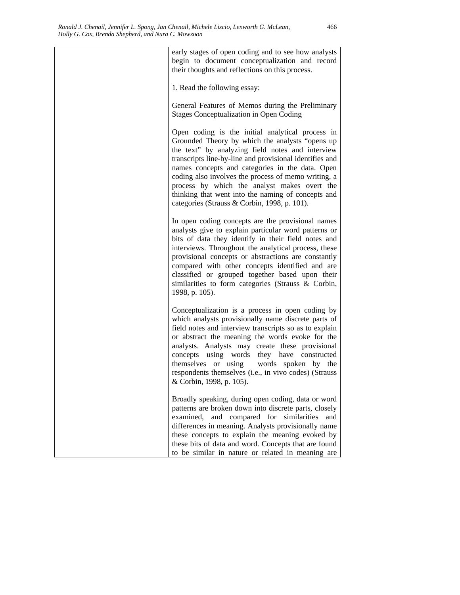| early stages of open coding and to see how analysts<br>begin to document conceptualization and record<br>their thoughts and reflections on this process.                                                                                                                                                                                                                                                                                                                           |
|------------------------------------------------------------------------------------------------------------------------------------------------------------------------------------------------------------------------------------------------------------------------------------------------------------------------------------------------------------------------------------------------------------------------------------------------------------------------------------|
| 1. Read the following essay:                                                                                                                                                                                                                                                                                                                                                                                                                                                       |
| General Features of Memos during the Preliminary<br><b>Stages Conceptualization in Open Coding</b>                                                                                                                                                                                                                                                                                                                                                                                 |
| Open coding is the initial analytical process in<br>Grounded Theory by which the analysts "opens up<br>the text" by analyzing field notes and interview<br>transcripts line-by-line and provisional identifies and<br>names concepts and categories in the data. Open<br>coding also involves the process of memo writing, a<br>process by which the analyst makes overt the<br>thinking that went into the naming of concepts and<br>categories (Strauss & Corbin, 1998, p. 101). |
| In open coding concepts are the provisional names<br>analysts give to explain particular word patterns or<br>bits of data they identify in their field notes and<br>interviews. Throughout the analytical process, these<br>provisional concepts or abstractions are constantly<br>compared with other concepts identified and are<br>classified or grouped together based upon their<br>similarities to form categories (Strauss & Corbin,<br>1998, p. 105).                      |
| Conceptualization is a process in open coding by<br>which analysts provisionally name discrete parts of<br>field notes and interview transcripts so as to explain<br>or abstract the meaning the words evoke for the<br>analysts. Analysts may create these provisional<br>concepts using words they have constructed<br>themselves or using<br>words spoken by the<br>respondents themselves (i.e., in vivo codes) (Strauss<br>& Corbin, 1998, p. 105).                           |
| Broadly speaking, during open coding, data or word<br>patterns are broken down into discrete parts, closely<br>examined,<br>and compared for<br>similarities<br>and<br>differences in meaning. Analysts provisionally name<br>these concepts to explain the meaning evoked by<br>these bits of data and word. Concepts that are found<br>to be similar in nature or related in meaning are                                                                                         |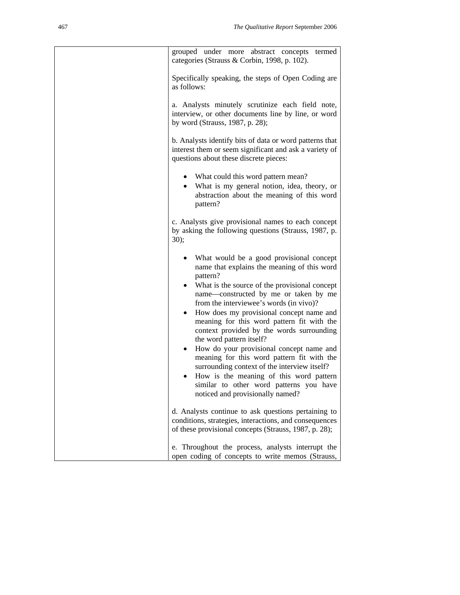| grouped under more abstract concepts<br>termed<br>categories (Strauss & Corbin, 1998, p. 102).                                                                                                                                                                                                                                                                                                                                                                                                                                                                                                                                                                                                 |
|------------------------------------------------------------------------------------------------------------------------------------------------------------------------------------------------------------------------------------------------------------------------------------------------------------------------------------------------------------------------------------------------------------------------------------------------------------------------------------------------------------------------------------------------------------------------------------------------------------------------------------------------------------------------------------------------|
| Specifically speaking, the steps of Open Coding are<br>as follows:                                                                                                                                                                                                                                                                                                                                                                                                                                                                                                                                                                                                                             |
| a. Analysts minutely scrutinize each field note,<br>interview, or other documents line by line, or word<br>by word (Strauss, 1987, p. 28);                                                                                                                                                                                                                                                                                                                                                                                                                                                                                                                                                     |
| b. Analysts identify bits of data or word patterns that<br>interest them or seem significant and ask a variety of<br>questions about these discrete pieces:                                                                                                                                                                                                                                                                                                                                                                                                                                                                                                                                    |
| • What could this word pattern mean?<br>• What is my general notion, idea, theory, or<br>abstraction about the meaning of this word<br>pattern?                                                                                                                                                                                                                                                                                                                                                                                                                                                                                                                                                |
| c. Analysts give provisional names to each concept<br>by asking the following questions (Strauss, 1987, p.<br>30);                                                                                                                                                                                                                                                                                                                                                                                                                                                                                                                                                                             |
| • What would be a good provisional concept<br>name that explains the meaning of this word<br>pattern?<br>What is the source of the provisional concept<br>name-constructed by me or taken by me<br>from the interviewee's words (in vivo)?<br>How does my provisional concept name and<br>meaning for this word pattern fit with the<br>context provided by the words surrounding<br>the word pattern itself?<br>How do your provisional concept name and<br>$\bullet$<br>meaning for this word pattern fit with the<br>surrounding context of the interview itself?<br>How is the meaning of this word pattern<br>similar to other word patterns you have<br>noticed and provisionally named? |
| d. Analysts continue to ask questions pertaining to<br>conditions, strategies, interactions, and consequences<br>of these provisional concepts (Strauss, 1987, p. 28);                                                                                                                                                                                                                                                                                                                                                                                                                                                                                                                         |
| e. Throughout the process, analysts interrupt the<br>open coding of concepts to write memos (Strauss,                                                                                                                                                                                                                                                                                                                                                                                                                                                                                                                                                                                          |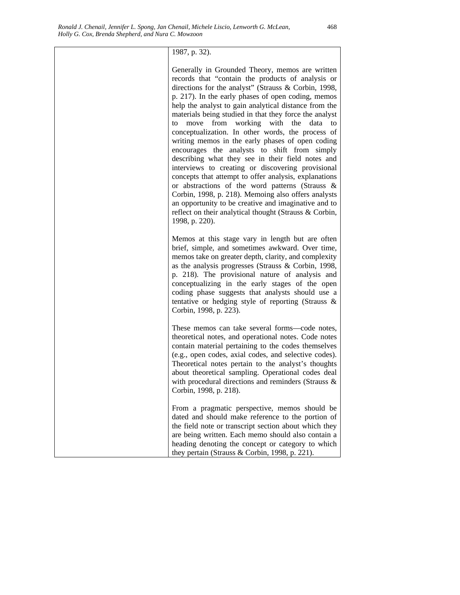### 1987, p. 32).

Generally in Grounded Theory, memos are written records that "contain the products of analysis or directions for the analyst" (Strauss & Corbin, 1998, p. 217). In the early phases of open coding, memos help the analyst to gain analytical distance from the materials being studied in that they force the analyst to move from working with the data to conceptualization. In other words, the process of writing memos in the early phases of open coding encourages the analysts to shift from simply describing what they see in their field notes and interviews to creating or discovering provisional concepts that attempt to offer analysis, explanations or abstractions of the word patterns (Strauss & Corbin, 1998, p. 218). Memoing also offers analysts an opportunity to be creative and imaginative and to reflect on their analytical thought (Strauss & Corbin, 1998, p. 220).

Memos at this stage vary in length but are often brief, simple, and sometimes awkward. Over time, memos take on greater depth, clarity, and complexity as the analysis progresses (Strauss & Corbin, 1998, p. 218). The provisional nature of analysis and conceptualizing in the early stages of the open coding phase suggests that analysts should use a tentative or hedging style of reporting (Strauss & Corbin, 1998, p. 223).

These memos can take several forms—code notes, theoretical notes, and operational notes. Code notes contain material pertaining to the codes themselves (e.g., open codes, axial codes, and selective codes). Theoretical notes pertain to the analyst's thoughts about theoretical sampling. Operational codes deal with procedural directions and reminders (Strauss & Corbin, 1998, p. 218).

From a pragmatic perspective, memos should be dated and should make reference to the portion of the field note or transcript section about which they are being written. Each memo should also contain a heading denoting the concept or category to which they pertain (Strauss & Corbin, 1998, p. 221).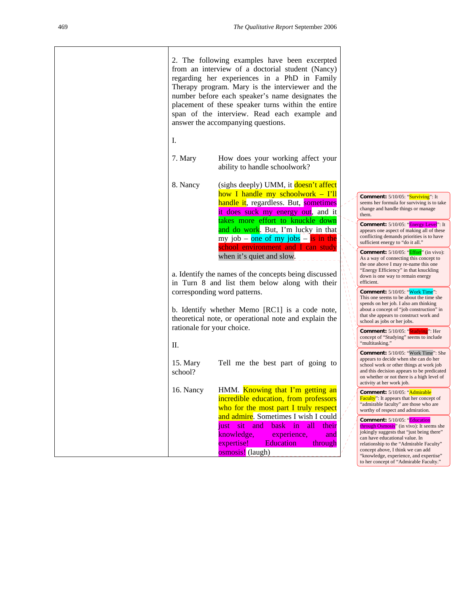|                            | 2. The following examples have been excerpted<br>from an interview of a doctorial student (Nancy)<br>regarding her experiences in a PhD in Family<br>Therapy program. Mary is the interviewer and the<br>number before each speaker's name designates the<br>placement of these speaker turns within the entire<br>span of the interview. Read each example and<br>answer the accompanying questions. |                                     |                                                                                                                                                                                                                                                                                                                             |
|----------------------------|-------------------------------------------------------------------------------------------------------------------------------------------------------------------------------------------------------------------------------------------------------------------------------------------------------------------------------------------------------------------------------------------------------|-------------------------------------|-----------------------------------------------------------------------------------------------------------------------------------------------------------------------------------------------------------------------------------------------------------------------------------------------------------------------------|
| Ι.                         |                                                                                                                                                                                                                                                                                                                                                                                                       |                                     |                                                                                                                                                                                                                                                                                                                             |
| 7. Mary                    | How does your working affect your<br>ability to handle schoolwork?                                                                                                                                                                                                                                                                                                                                    |                                     |                                                                                                                                                                                                                                                                                                                             |
| 8. Nancy                   | (sighs deeply) UMM, it doesn't affect                                                                                                                                                                                                                                                                                                                                                                 |                                     |                                                                                                                                                                                                                                                                                                                             |
|                            | how I handle my schoolwork - I'll<br>handle it, regardless. But, sometimes<br>it does suck my energy out, and it                                                                                                                                                                                                                                                                                      |                                     | <b>Comment:</b> 5/10/05: "Surviving": It<br>seems her formula for surviving is to take<br>change and handle things or manage<br>them.                                                                                                                                                                                       |
|                            | takes more effort to knuckle down<br>and do work. But, I'm lucky in that<br>my job – one of my jobs – is in the<br>school environment and I can study                                                                                                                                                                                                                                                 |                                     | Comment: 5/10/05: "Energy Level": It<br>appears one aspect of making all of these<br>conflicting demands priorities is to have<br>sufficient energy to "do it all."                                                                                                                                                         |
|                            | when it's quiet and slow.<br>a. Identify the names of the concepts being discussed<br>in Turn 8 and list them below along with their                                                                                                                                                                                                                                                                  |                                     | <b>Comment:</b> 5/10/05: " <b>Effort</b> " (in vivo):<br>As a way of connecting this concept to<br>the one above I may re-name this one<br>"Energy Efficiency" in that knuckling<br>down is one way to remain energy<br>efficient.                                                                                          |
|                            | corresponding word patterns.                                                                                                                                                                                                                                                                                                                                                                          | AΛ<br>$\mathcal{N}$<br>$\mathbf{A}$ | <b>Comment:</b> 5/10/05: "Work Time":                                                                                                                                                                                                                                                                                       |
|                            | b. Identify whether Memo [RC1] is a code note,<br>theoretical note, or operational note and explain the                                                                                                                                                                                                                                                                                               |                                     | This one seems to be about the time she<br>spends on her job. I also am thinking<br>about a concept of "job construction" in<br>that she appears to construct work and<br>school as jobs or her jobs.                                                                                                                       |
| rationale for your choice. |                                                                                                                                                                                                                                                                                                                                                                                                       |                                     | <b>Comment:</b> $5/10/05$ : "Studying": Her<br>concept of "Studying" seems to include                                                                                                                                                                                                                                       |
| П.                         |                                                                                                                                                                                                                                                                                                                                                                                                       |                                     | "multitasking."                                                                                                                                                                                                                                                                                                             |
| 15. Mary<br>school?        | Tell me the best part of going to                                                                                                                                                                                                                                                                                                                                                                     |                                     | <b>Comment:</b> 5/10/05: "Work Time": She<br>appears to decide when she can do her<br>school work or other things at work job<br>and this decision appears to be predicated<br>on whether or not there is a high level of<br>activity at her work job.                                                                      |
| 16. Nancy                  | HMM. Knowing that I'm getting an<br>incredible education, from professors<br>who for the most part I truly respect                                                                                                                                                                                                                                                                                    |                                     | Comment: 5/10/05: "Admirable<br>Faculty": It appears that her concept of<br>"admirable faculty" are those who are<br>worthy of respect and admiration.                                                                                                                                                                      |
|                            | and admire. Sometimes I wish I could<br>bask<br>and<br>in<br>all<br><i>just</i><br>sit<br>their<br>knowledge,<br>experience,<br>and<br>expertise!<br><b>Education</b><br>through<br>osmosis! (laugh)                                                                                                                                                                                                  |                                     | Comment: 5/10/05: "Education<br>through Osmosis" (in vivo): It seems she<br>jokingly suggests that "just being there"<br>can have educational value. In<br>relationship to the "Admirable Faculty"<br>concept above, I think we can add<br>"knowledge, experience, and expertise"<br>to her concept of "Admirable Faculty." |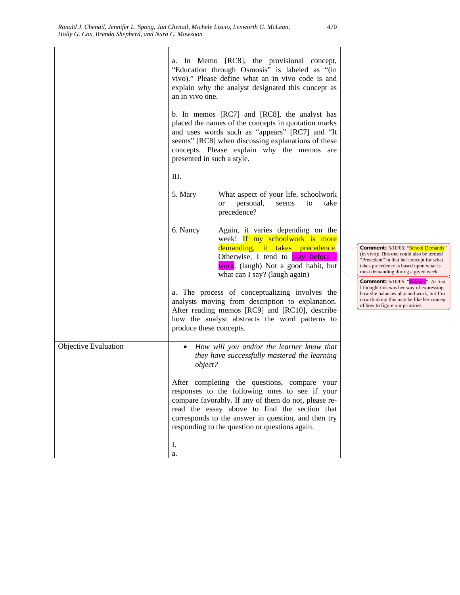|                             | an in vivo one.<br>presented in such a style.<br>III. | a. In Memo [RC8], the provisional concept,<br>"Education through Osmosis" is labeled as "(in<br>vivo)." Please define what an in vivo code is and<br>explain why the analyst designated this concept as<br>b. In memos [RC7] and [RC8], the analyst has<br>placed the names of the concepts in quotation marks<br>and uses words such as "appears" [RC7] and "It<br>seems" [RC8] when discussing explanations of these<br>concepts. Please explain why the memos are |                                                                                                                                                                                                                                                                                                                                                   |
|-----------------------------|-------------------------------------------------------|----------------------------------------------------------------------------------------------------------------------------------------------------------------------------------------------------------------------------------------------------------------------------------------------------------------------------------------------------------------------------------------------------------------------------------------------------------------------|---------------------------------------------------------------------------------------------------------------------------------------------------------------------------------------------------------------------------------------------------------------------------------------------------------------------------------------------------|
|                             | 5. Mary<br>6. Nancy                                   | What aspect of your life, schoolwork<br>personal,<br>take<br>seems<br>to<br><b>or</b><br>precedence?<br>Again, it varies depending on the<br>week! If my schoolwork is more<br>demanding, it takes precedence.                                                                                                                                                                                                                                                       | Comment: 5/10/05: "School Demands"<br>(in vivo): This one could also be termed                                                                                                                                                                                                                                                                    |
|                             | produce these concepts.                               | Otherwise, I tend to play before I<br>work. (laugh) Not a good habit, but<br>what can I say? (laugh again)<br>a. The process of conceptualizing involves the<br>analysts moving from description to explanation.<br>After reading memos [RC9] and [RC10], describe<br>how the analyst abstracts the word patterns to                                                                                                                                                 | "Precedent" in that her concept for what<br>takes precedence is based upon what is<br>most demanding during a given week.<br><b>Comment:</b> 5/10/05: "Balance": At first<br>I thought this was her way of expressing<br>how she balances play and work, but I'm<br>now thinking this may be like her concept<br>of how to figure our priorities. |
| <b>Objective Evaluation</b> | $\bullet$<br>object?<br>I.<br>a.                      | How will you and/or the learner know that<br>they have successfully mastered the learning<br>After completing the questions, compare your<br>responses to the following ones to see if your<br>compare favorably. If any of them do not, please re-<br>read the essay above to find the section that<br>corresponds to the answer in question, and then try<br>responding to the question or questions again.                                                        |                                                                                                                                                                                                                                                                                                                                                   |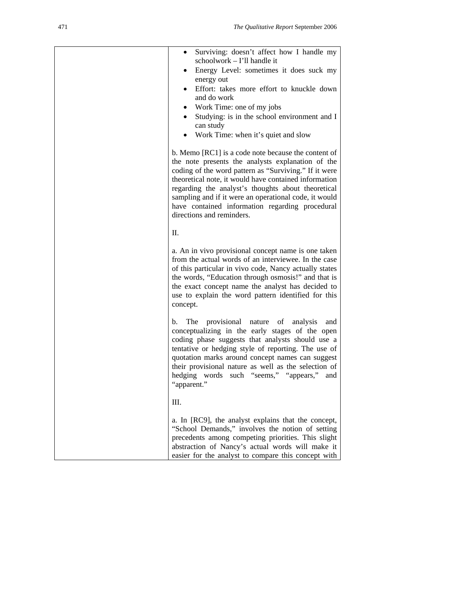| Surviving: doesn't affect how I handle my<br>٠<br>schoolwork - I'll handle it<br>Energy Level: sometimes it does suck my<br>energy out<br>Effort: takes more effort to knuckle down<br>and do work<br>Work Time: one of my jobs<br>Studying: is in the school environment and I<br>can study<br>Work Time: when it's quiet and slow                                                                                       |  |
|---------------------------------------------------------------------------------------------------------------------------------------------------------------------------------------------------------------------------------------------------------------------------------------------------------------------------------------------------------------------------------------------------------------------------|--|
| b. Memo [RC1] is a code note because the content of<br>the note presents the analysts explanation of the<br>coding of the word pattern as "Surviving." If it were<br>theoretical note, it would have contained information<br>regarding the analyst's thoughts about theoretical<br>sampling and if it were an operational code, it would<br>have contained information regarding procedural<br>directions and reminders. |  |
| П.                                                                                                                                                                                                                                                                                                                                                                                                                        |  |
| a. An in vivo provisional concept name is one taken<br>from the actual words of an interviewee. In the case<br>of this particular in vivo code, Nancy actually states<br>the words, "Education through osmosis!" and that is<br>the exact concept name the analyst has decided to<br>use to explain the word pattern identified for this<br>concept.                                                                      |  |
| The provisional nature of analysis<br>b.<br>and<br>conceptualizing in the early stages of the open<br>coding phase suggests that analysts should use a<br>tentative or hedging style of reporting. The use of<br>quotation marks around concept names can suggest<br>their provisional nature as well as the selection of<br>hedging words such "seems," "appears,"<br>and<br>"apparent."                                 |  |
| III.                                                                                                                                                                                                                                                                                                                                                                                                                      |  |
| a. In [RC9], the analyst explains that the concept,<br>"School Demands," involves the notion of setting<br>precedents among competing priorities. This slight<br>abstraction of Nancy's actual words will make it<br>easier for the analyst to compare this concept with                                                                                                                                                  |  |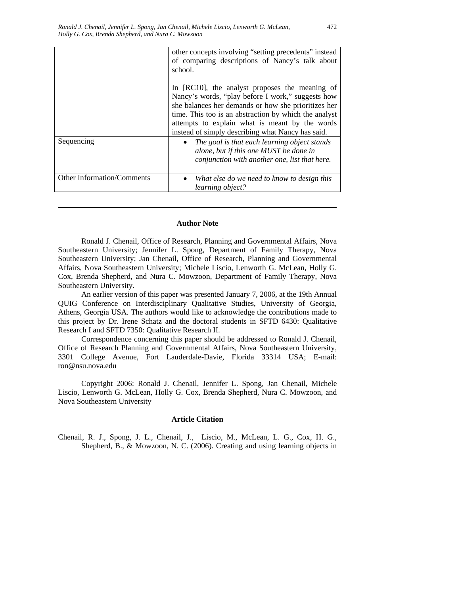|                            | other concepts involving "setting precedents" instead<br>of comparing descriptions of Nancy's talk about<br>school.                                                                                                                                                                                                        |
|----------------------------|----------------------------------------------------------------------------------------------------------------------------------------------------------------------------------------------------------------------------------------------------------------------------------------------------------------------------|
|                            | In [RC10], the analyst proposes the meaning of<br>Nancy's words, "play before I work," suggests how<br>she balances her demands or how she prioritizes her<br>time. This too is an abstraction by which the analyst<br>attempts to explain what is meant by the words<br>instead of simply describing what Nancy has said. |
| Sequencing                 | The goal is that each learning object stands<br>alone, but if this one MUST be done in<br>conjunction with another one, list that here.                                                                                                                                                                                    |
| Other Information/Comments | What else do we need to know to design this<br>learning object?                                                                                                                                                                                                                                                            |

#### **Author Note**

Ronald J. Chenail, Office of Research, Planning and Governmental Affairs, Nova Southeastern University; Jennifer L. Spong, Department of Family Therapy, Nova Southeastern University; Jan Chenail, Office of Research, Planning and Governmental Affairs, Nova Southeastern University; Michele Liscio, Lenworth G. McLean, Holly G. Cox, Brenda Shepherd, and Nura C. Mowzoon, Department of Family Therapy, Nova Southeastern University.

An earlier version of this paper was presented January 7, 2006, at the 19th Annual QUIG Conference on Interdisciplinary Qualitative Studies, University of Georgia, Athens, Georgia USA. The authors would like to acknowledge the contributions made to this project by Dr. Irene Schatz and the doctoral students in SFTD 6430: Qualitative Research I and SFTD 7350: Qualitative Research II.

Correspondence concerning this paper should be addressed to Ronald J. Chenail, Office of Research Planning and Governmental Affairs, Nova Southeastern University, 3301 College Avenue, Fort Lauderdale-Davie, Florida 33314 USA; E-mail: ron@nsu.nova.edu

Copyright 2006: Ronald J. Chenail, Jennifer L. Spong, Jan Chenail, Michele Liscio, Lenworth G. McLean, Holly G. Cox, Brenda Shepherd, Nura C. Mowzoon, and Nova Southeastern University

#### **Article Citation**

Chenail, R. J., Spong, J. L., Chenail, J., Liscio, M., McLean, L. G., Cox, H. G., Shepherd, B., & Mowzoon, N. C. (2006). Creating and using learning objects in